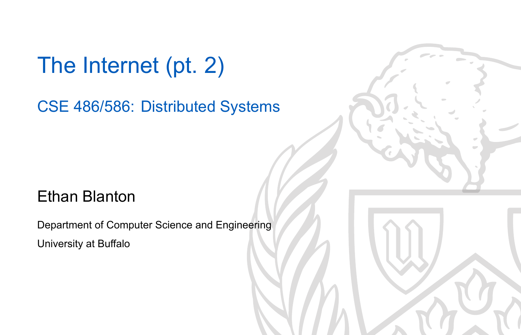The Internet (pt. 2)

CSE 486/586: Distributed Systems

#### Ethan Blanton

Department of Computer Science and Engineering University at Buffalo

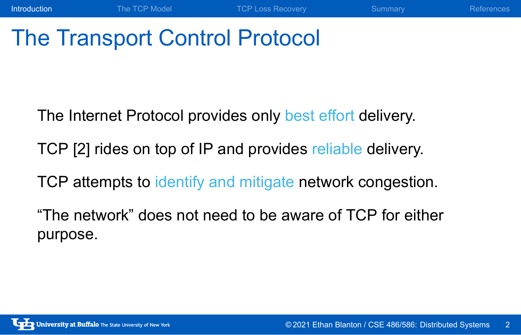## The Transport Control Protocol

The Internet Protocol provides only best effort delivery.

Introduction The TCP Model TCP Loss Recovery Summary References

TCP [2] rides on top of IP and provides reliable delivery.

TCP attempts to identify and mitigate network congestion.

"The network" does not need to be aware of TCP for either purpose.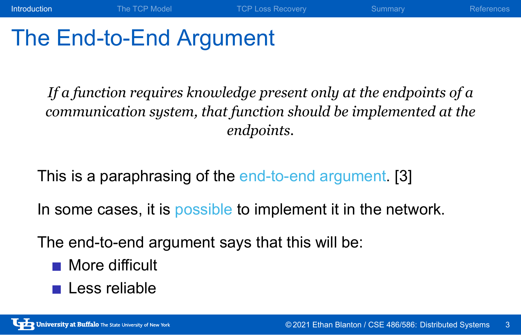### The End-to-End Argument

*If a function requires knowledge present only at the endpoints of a communication system, that function should be implemented at the endpoints.*

Introduction The TCP Model TCP Loss Recovery Summary References

This is a paraphrasing of the end-to-end argument. [3]

In some cases, it is possible to implement it in the network.

The end-to-end argument says that this will be:

- **More difficult**
- **Less reliable**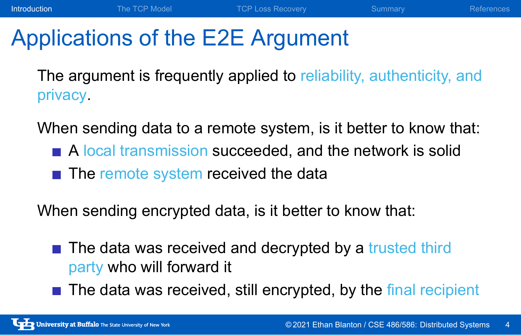### Applications of the E2E Argument

The argument is frequently applied to reliability, authenticity, and privacy.

Introduction The TCP Model TCP Loss Recovery Summary References

When sending data to a remote system, is it better to know that:

- A local transmission succeeded, and the network is solid
- $\blacksquare$  The remote system received the data

When sending encrypted data, is it better to know that:

- The data was received and decrypted by a trusted third party who will forward it
- $\blacksquare$  The data was received, still encrypted, by the final recipient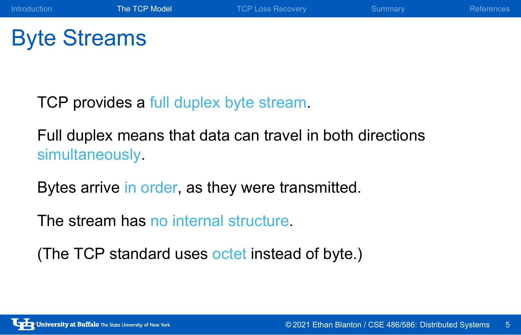TCP provides a full duplex byte stream.

Full duplex means that data can travel in both directions simultaneously.

Introduction **The TCP Model** TCP Loss Recovery Summary References

Bytes arrive in order, as they were transmitted.

The stream has no internal structure.

(The TCP standard uses octet instead of byte.)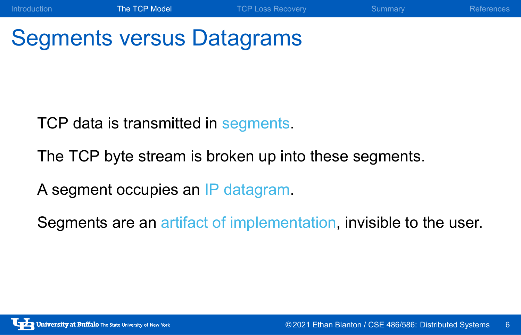### Segments versus Datagrams

TCP data is transmitted in segments.

The TCP byte stream is broken up into these segments.

A segment occupies an IP datagram.

Segments are an artifact of implementation, invisible to the user.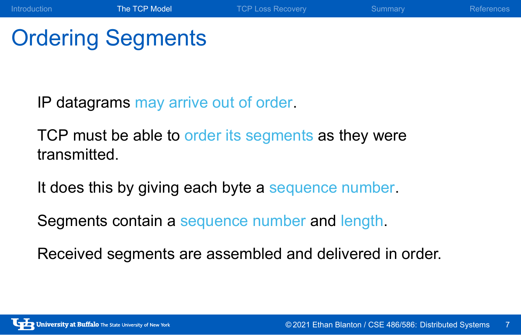#### Ordering Segments

IP datagrams may arrive out of order.

TCP must be able to order its segments as they were transmitted.

Introduction The TCP Model TCP Loss Recovery Summary References

It does this by giving each byte a sequence number.

Segments contain a sequence number and length.

Received segments are assembled and delivered in order.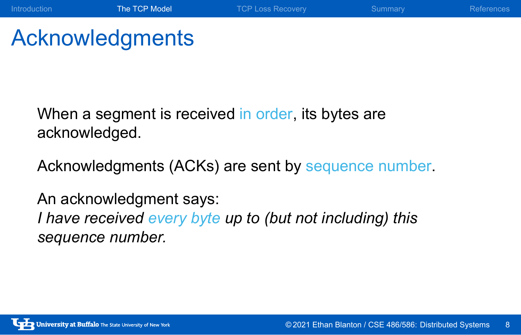# Acknowledgments

When a segment is received in order, its bytes are acknowledged.

Acknowledgments (ACKs) are sent by sequence number.

Introduction **The TCP Model** TCP Loss Recovery Summary References

An acknowledgment says: *I have received every byte up to (but not including) this sequence number.*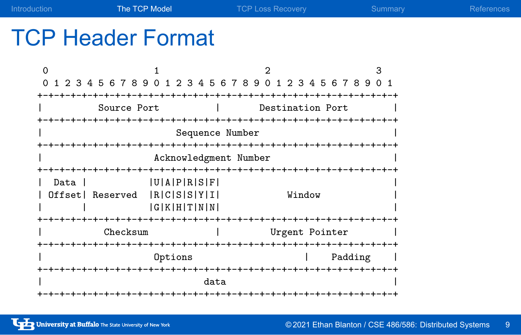| Introduction | The TCP Model | TCP Loss Recovery | Summary | References |
|--------------|---------------|-------------------|---------|------------|

## TCP Header Format

|                                                           |             |  |                  | З              |  |  |
|-----------------------------------------------------------|-------------|--|------------------|----------------|--|--|
| 1 2 3 4 5 6 7 8 9 0 1 2 3 4 5 6 7 8 9 0 1 2 3 4 5 6 7 8 9 |             |  |                  | 0 <sub>1</sub> |  |  |
|                                                           |             |  |                  |                |  |  |
| Source Port                                               |             |  | Destination Port |                |  |  |
|                                                           |             |  |                  |                |  |  |
| Sequence Number                                           |             |  |                  |                |  |  |
|                                                           |             |  |                  |                |  |  |
| Acknowledgment Number                                     |             |  |                  |                |  |  |
| $+ - + - + - +$<br>-+-+-+-+-+-+-+-+-+-+-+-+-+             |             |  |                  |                |  |  |
| Data                                                      | U[A]P[R S F |  |                  |                |  |  |
| Offset Reserved                                           | R C S S Y I |  | Window           |                |  |  |
|                                                           | G K H T N N |  |                  |                |  |  |
|                                                           |             |  |                  |                |  |  |
| Checksum                                                  |             |  | Urgent Pointer   |                |  |  |
| -+-+-+-+-                                                 |             |  | -+-+-+-+-+       |                |  |  |
|                                                           |             |  | Padding          |                |  |  |
| -+-+-+-+                                                  |             |  |                  |                |  |  |
| data                                                      |             |  |                  |                |  |  |
|                                                           |             |  |                  |                |  |  |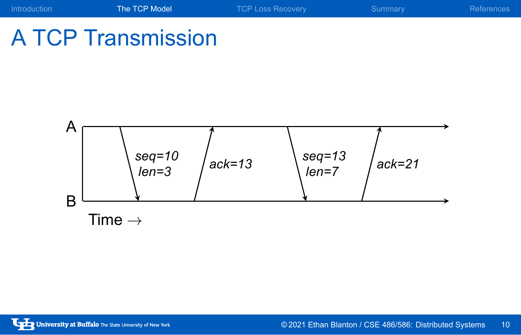### Introduction **The TCP Model** TCP Loss Recovery Summary References A TCP Transmission

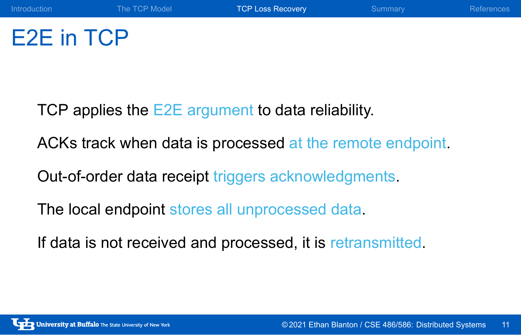### E2E in TCP

TCP applies the E2E argument to data reliability.

ACKs track when data is processed at the remote endpoint.

Introduction The TCP Model TCP Loss Recovery Summary References

Out-of-order data receipt triggers acknowledgments.

The local endpoint stores all unprocessed data.

If data is not received and processed, it is retransmitted.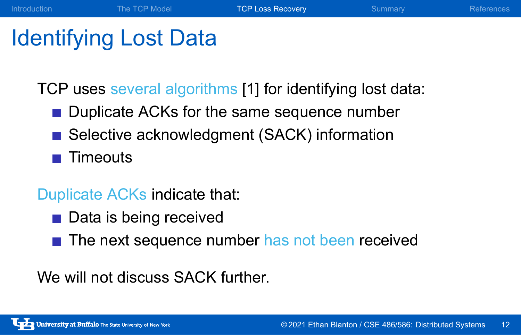### Identifying Lost Data

TCP uses several algorithms [1] for identifying lost data:

Introduction The TCP Model TCP Loss Recovery Summary References

- Duplicate ACKs for the same sequence number
- Selective acknowledgment (SACK) information
- $\blacksquare$  Timeouts

Duplicate ACKs indicate that:

- Data is being received
- The next sequence number has not been received

We will not discuss SACK further.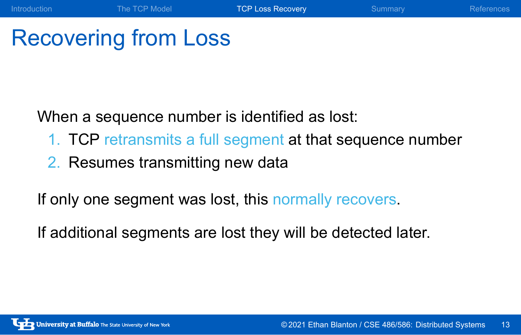### Recovering from Loss

When a sequence number is identified as lost:

1. TCP retransmits a full segment at that sequence number

Introduction The TCP Model TCP Loss Recovery Summary References

2. Resumes transmitting new data

If only one segment was lost, this normally recovers.

If additional segments are lost they will be detected later.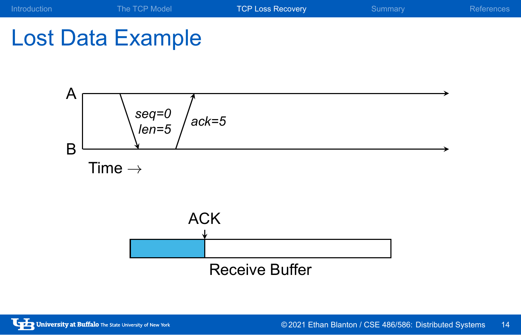# Lost Data Example

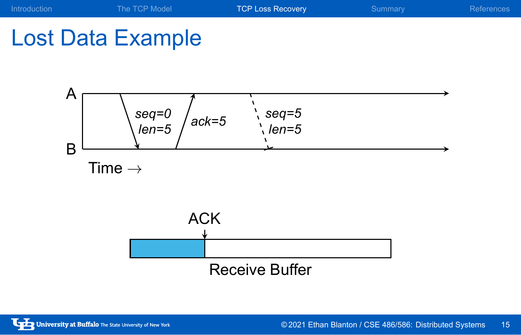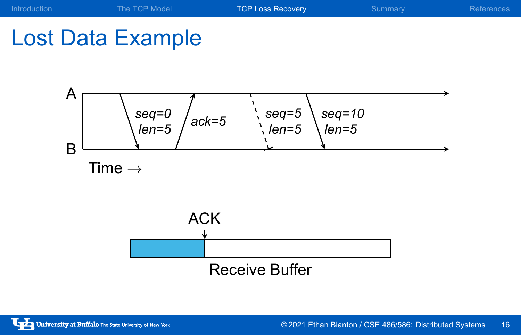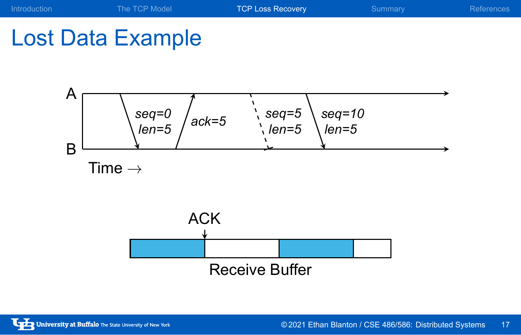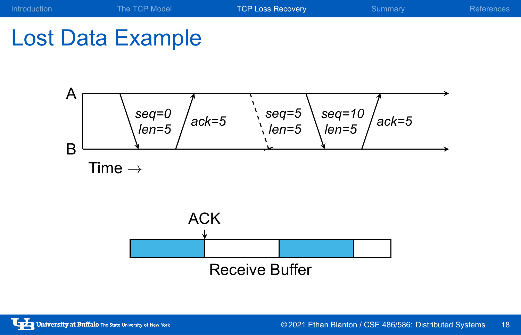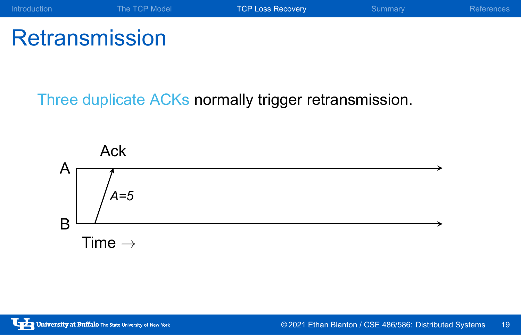

**Retransmission** 

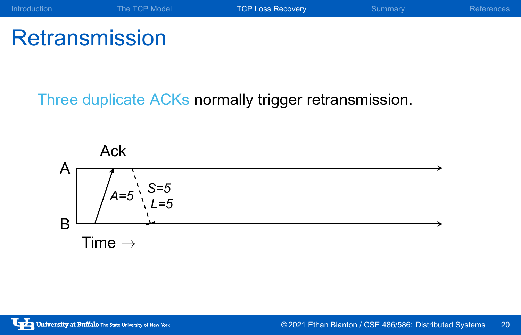

**Retransmission** 

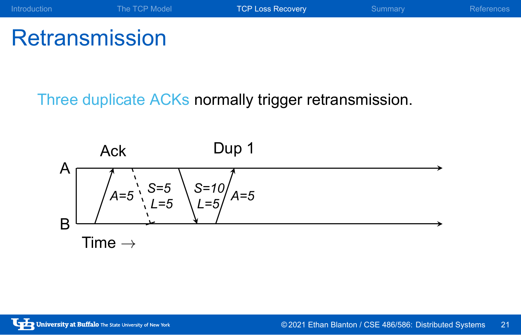## **Retransmission**

A B *A=5* Ack *S=5 L=5 S=10 L=5 A=5* Dup 1 Time *→*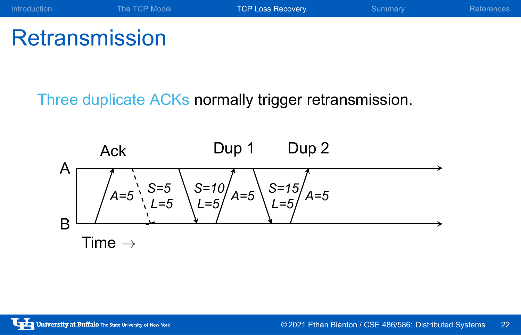## **Retransmission**

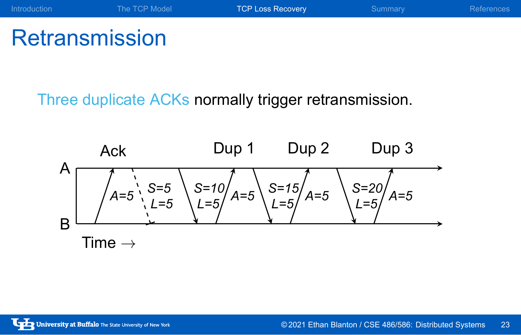## **Retransmission**

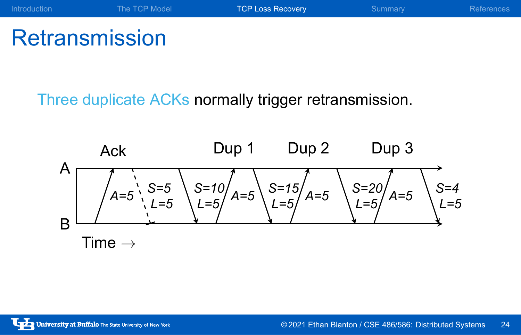# **Retransmission**

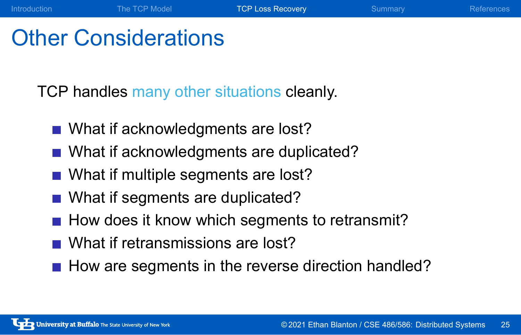#### Other Considerations

TCP handles many other situations cleanly.

- What if acknowledgments are lost?
- What if acknowledgments are duplicated?
- What if multiple segments are lost?
- What if segments are duplicated?
- $\blacksquare$  How does it know which segments to retransmit?
- What if retransmissions are lost?
- How are segments in the reverse direction handled?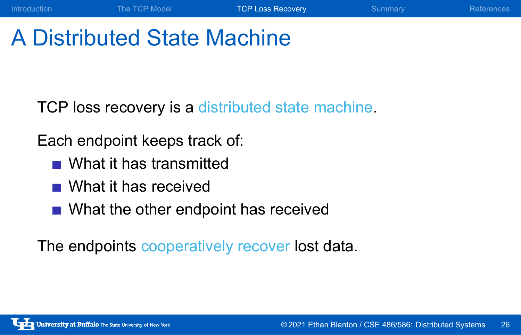## A Distributed State Machine

TCP loss recovery is a distributed state machine.

Each endpoint keeps track of:

- What it has transmitted
- What it has received
- What the other endpoint has received

The endpoints cooperatively recover lost data.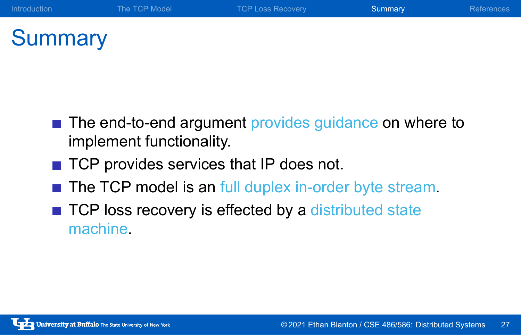## **Summary**

■ The end-to-end argument provides guidance on where to implement functionality.

- TCP provides services that IP does not.
- The TCP model is an full duplex in-order byte stream.
- TCP loss recovery is effected by a distributed state machine.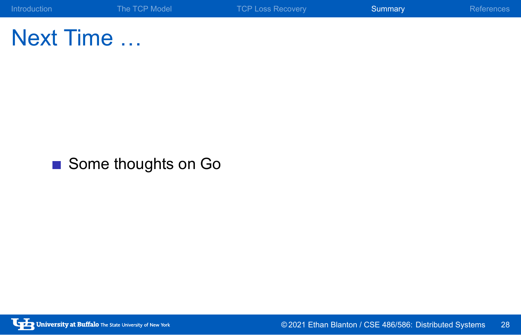Next Time …

Some thoughts on Go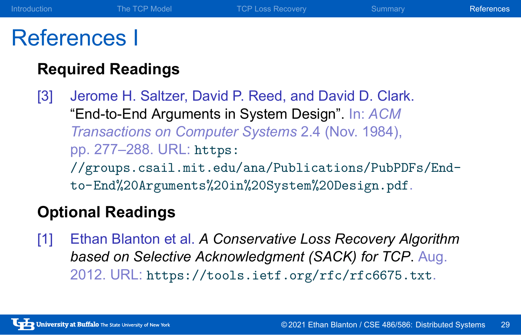#### References I

#### **Required Readings**

[3] Jerome H. Saltzer, David P. Reed, and David D. Clark. "End-to-End Arguments in System Design". In: *ACM Transactions on Computer Systems* 2.4 (Nov. 1984), pp. 277–288. URL: https: //groups.csail.mit.edu/ana/Publications/PubPDFs/Endto-End%20Arguments%20in%20System%20Design.pdf.

Introduction The TCP Model TCP Loss Recovery Summary References

#### **Optional Readings**

[1] Ethan Blanton et al. *A Conservative Loss Recovery Algorithm based on Selective Acknowledgment (SACK) for TCP*. Aug. 2012. URL: https://tools.ietf.org/rfc/rfc6675.txt.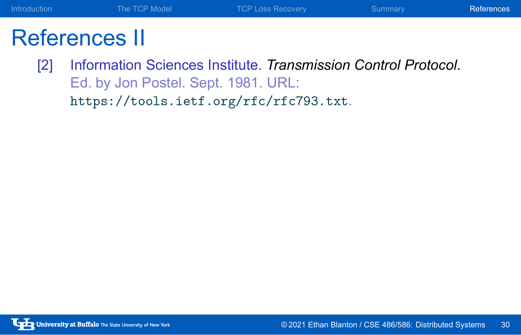## References II

[2] Information Sciences Institute. *Transmission Control Protocol*. Ed. by Jon Postel. Sept. 1981. URL: https://tools.ietf.org/rfc/rfc793.txt.